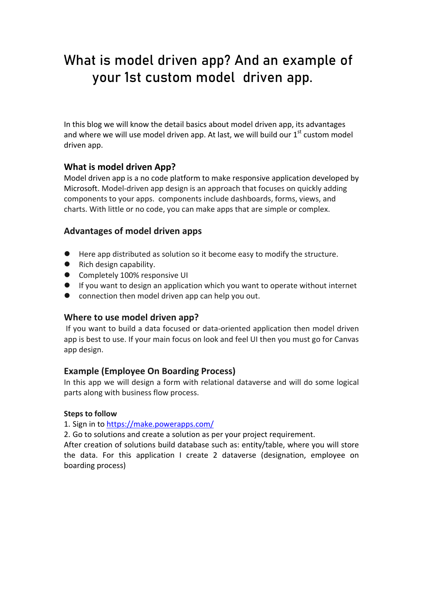# What is model driven app? And an example of your 1st custom model driven app.

In this blog we will know the detail basics about model driven app, its advantages and where we will use model driven app. At last, we will build our  $1<sup>st</sup>$  custom model driven app.

#### **What is model driven App?**

Model driven app is a no code platform to make responsive application developed by Microsoft. Model-driven app design is an approach that focuses on quickly adding components to your apps. components include dashboards, forms, views, and charts. With little or no code, you can make apps that are simple or complex.

#### **Advantages of model driven apps**

- Here app distributed as solution so it become easy to modify the structure.
- Rich design capability.
- Completely 100% responsive UI
- If you want to design an application which you want to operate without internet
- connection then model driven app can help you out.

#### **Where to use model driven app?**

If you want to build a data focused or data-oriented application then model driven app is best to use. If your main focus on look and feel UI then you must go for Canvas app design.

#### **Example (Employee On Boarding Process)**

In this app we will design a form with relational dataverse and will do some logical parts along with business flow process.

#### **Steps to follow**

1. Sign in to<https://make.powerapps.com/>

2. Go to solutions and create a solution as per your project requirement.

After creation of solutions build database such as: entity/table, where you will store the data. For this application I create 2 dataverse (designation, employee on boarding process)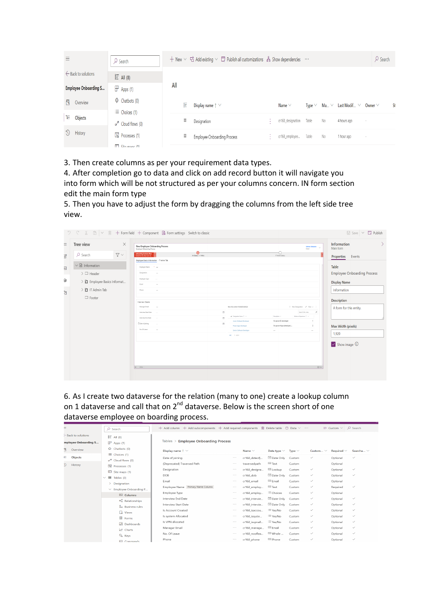| $\equiv$                       | $\circ$ Search                                                  | + New $\vee$ B Add existing $\vee$ D Publish all customizations $\frac{1}{10}$ Show dependencies $\cdots$                               | $\varphi$ Search |
|--------------------------------|-----------------------------------------------------------------|-----------------------------------------------------------------------------------------------------------------------------------------|------------------|
| $\leftarrow$ Back to solutions | $E \equiv$ All (8)                                              |                                                                                                                                         |                  |
| <b>Employee Onboarding S</b>   | $\mathbb{P}$ Apps (1)                                           | All                                                                                                                                     |                  |
| 凡<br>Overview                  | $\oplus$ Chatbots (0)                                           | E<br>Display name $\uparrow \vee$<br>Ma $\vee$ Last Modif $\vee$ Owner $\vee$<br>Name $\vee$<br>Type $\vee$                             | St               |
| Έ<br>Objects                   | $\equiv$ Choices (1)<br>$\sigma'^2$ Cloud flows (0)             | $\boxplus$<br>cr168_designation<br>Table<br>No<br>Designation<br>4 hours ago<br>$\overline{\phantom{a}}$<br>18                          |                  |
| $\Omega$<br>History            | $\overline{\mathbb{F}_0}$ Processes (1)<br>$\Box$ City mane (1) | $\overline{\mathbb{H}}$<br>Table<br>cr168_employee<br>No<br>Employee Onboarding Process<br>1 hour ago<br>14<br>$\overline{\phantom{a}}$ |                  |

3. Then create columns as per your requirement data types.

4. After completion go to data and click on add record button it will navigate you into form which will be not structured as per your columns concern. IN form section edit the main form type

5. Then you have to adjust the form by dragging the columns from the left side tree view.

|                                  |                                                                                                                                   | $\sqrt{2}$ \cdots \cdotsic \cdotsic \cdotsic \cdotsic \cdotsic \cdotsic \cdotsic \cdotsic \cdotsic \cdotsic \cdotsic \cdotsic \cdotsic \cdotsic \cdotsic \cdotsic \cdotsic \cdotsic \cdotsic \cdotsic \cdotsic \cdotsic \cdotsic                                                                                                                                                                                   | $\Box$ Save $\vee$ $\Box$ Publish                                                                                           |
|----------------------------------|-----------------------------------------------------------------------------------------------------------------------------------|--------------------------------------------------------------------------------------------------------------------------------------------------------------------------------------------------------------------------------------------------------------------------------------------------------------------------------------------------------------------------------------------------------------------|-----------------------------------------------------------------------------------------------------------------------------|
| Ξ<br>Ŧ                           | $\times$<br>Tree view<br>$\nabla \vee$<br>$O$ Search                                                                              | New Employee Onboarding Process<br>Softree Debasish<br>$\sim$<br>Outser<br>$\bullet$<br>0<br>onboarding business flow<br>Active for less than one mi<br>Hr Status (< 1 Min)<br>IT Admin Status                                                                                                                                                                                                                     | Information<br>Main form<br>Properties<br>Events                                                                            |
| $\overline{\text{4b}}$<br>⋓<br>B | $\vee$ $\blacksquare$ Information<br>$\geq$ $\Box$ Header<br>> □ Employee Basics Informat<br>$\sum$ IT Admin Tab<br>$\Box$ Footer | Employee Basics Information IT Admin Tab<br>Employee Name<br>The con-<br>Designation<br>×<br>Employee Type<br>Imail<br><b>COL</b><br>Phone:<br>$\sim$<br>Interview Details<br>$+$ New Designation $u^{\#}$ Flow $\smile$<br>Manager Email<br>New SG control 1632825326522<br><b>COL</b><br>$\circ$<br>$\mathcal{Q}$<br>Search this view<br>Interview Start Date                                                    | Table<br><b>Employee Onboarding Process</b><br><b>Display Name</b><br>Information<br>Description<br>A form for this entity. |
|                                  |                                                                                                                                   | $\sqrt{ }$ Designation Name $\uparrow \ \vee$<br>Description V<br>Minimum Experience   V<br>Interview End Date<br>m<br>Ms power Bi developer<br>Junior Software Developer<br>$\overline{1}$<br>A Date of Joining<br>m<br>$\overline{c}$<br>Power Apps Developer<br>Ms power Apps developer j<br>No. Of Leave<br>$\sim$<br>Senior Software Developer<br>$\sim$<br>$\sim$<br>ABC 1-3 of 3<br>$B = 1$<br>$\Xi$ Attitu | Max Width (pixels)<br>1,920<br>$\vee$ Show image $\circledcirc$                                                             |

6. As I create two dataverse for the relation (many to one) create a lookup column on 1 dataverse and call that on  $2^{nd}$  dataverse. Below is the screen short of one dataverse employee on boarding process.

|                           | - - - - - - - - - - - - - -                          | ייו ט                                                                                                                                    |          |                |                        |             |               |                                         |                |
|---------------------------|------------------------------------------------------|------------------------------------------------------------------------------------------------------------------------------------------|----------|----------------|------------------------|-------------|---------------|-----------------------------------------|----------------|
| ≡                         | $O$ Search                                           | $+$ Add column $+$ Add subcomponents $+$ Add required components $\mathbb{\hat{m}}$ Delete table $\mathbb{\hat{m}}$ Data $\vee$ $\cdots$ |          |                |                        |             |               | $\equiv$ Custom $\vee$ $\supset$ Search |                |
| $-$ Back to solutions     | $E$ All (8)                                          |                                                                                                                                          |          |                |                        |             |               |                                         |                |
| mployee Onboarding S      | $\mathbb{P}$ Apps (1)                                | Tables > Employee Onboarding Process                                                                                                     |          |                |                        |             |               |                                         |                |
| В<br>Overview             | $\oplus$ Chatbots (0)                                | Display name $\uparrow \sim$                                                                                                             |          | Name $\vee$    | Data type $\vee$       | Type $\vee$ | Custom $\vee$ | Required $\vee$                         | Searcha $\vee$ |
| 肩<br>Objects              | Choices (1)<br>$\sigma$ <sup>a</sup> Cloud flows (0) | Date of joining                                                                                                                          | $\cdots$ | cr168_dateofj  | <sup>同</sup> Date Only | Custom      | $\checkmark$  | Optional                                | $\checkmark$   |
| $\overline{O}$<br>History | 图 Processes (1)                                      | (Deprecated) Traversed Path                                                                                                              | $\cdots$ | traversedpath  | <b>Emil</b> Text       | Custom      |               | Optional                                |                |
|                           | Site maps (1)                                        | Designation                                                                                                                              | $\cdots$ | cr168 designa  | EB Lookup              | Custom      | $\checkmark$  | Optional                                | $\checkmark$   |
|                           | $\vee$ $\Box$ Tables (3)                             | <b>DOB</b>                                                                                                                               | $\cdots$ | cr168 dob      | <sup>固</sup> Date Only | Custom      | $\checkmark$  | Optional                                | $\checkmark$   |
|                           | Designation<br>>                                     | Email                                                                                                                                    | $\cdots$ | cr168_email    | Email                  | Custom      | $\checkmark$  | Optional                                |                |
|                           | $\vee$ Employee Onboarding P                         | Employee Name Primary Name Column                                                                                                        | 1.1.1    | cr168 employ   | <b>Emil</b> Text       | Custom      | $\checkmark$  | Required                                | $\checkmark$   |
|                           | <b>ESI</b> Columns                                   | Employee Type                                                                                                                            | $\cdots$ | cr168 employ   | = Choices              | Custom      | $\checkmark$  | Optional                                |                |
|                           | $\propto_{\alpha}^{\alpha}$ Relationships            | interview End Date                                                                                                                       | $\cdots$ | cr168 intervie | Date Only              | Custom      | $\checkmark$  | Optional                                | $\checkmark$   |
|                           | & Business rules                                     | Interview Start Date                                                                                                                     | $\cdots$ | cr168 intervie | Date Only              | Custom      | $\checkmark$  | Optional                                | $\checkmark$   |
|                           | $\Box$ Views                                         | Is Account Created                                                                                                                       | $\cdots$ | cr168 isaccou  | $\equiv$ Yes/No        | Custom      | $\checkmark$  | Optional                                | $\checkmark$   |
|                           | <b>目</b> Forms                                       | Is system Allocated                                                                                                                      | $\cdots$ | cr168 issyste  | $\equiv$ Yes/No        | Custom      | $\checkmark$  | Optional                                | $\checkmark$   |
|                           | Dashboards                                           | Is VPN allocated                                                                                                                         | $\cdots$ | cr168 isvpnall | $\equiv$ Yes/No        | Custom      | $\checkmark$  | Optional                                | $\checkmark$   |
|                           | ⊵ Charts                                             | Manager Email                                                                                                                            | $\cdots$ | cr168 manage   | <b>Email</b>           | Custom      | $\checkmark$  | Optional                                | $\checkmark$   |
|                           | & Keys                                               | No. Of Leave                                                                                                                             | $\cdots$ | cr168 nooflea  | <sup>[33]</sup> Whole  | Custom      | $\checkmark$  | Optional                                | $\checkmark$   |
|                           | <b>E</b> Commands                                    | Phone                                                                                                                                    | $\cdots$ | cr168 phone    | <b>ESI</b> Phone       | Custom      | $\checkmark$  | Optional                                | $\checkmark$   |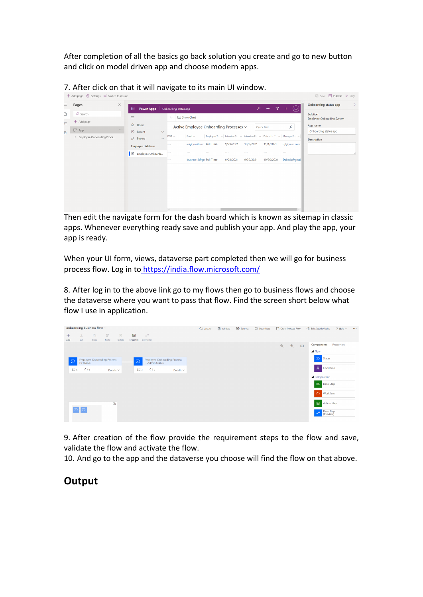After completion of all the basics go back solution you create and go to new button and click on model driven app and choose modern apps.

|          |                                                 |                                                                                                                                                                                                                          | ■ Save ■ Publish ▶ Play                       |
|----------|-------------------------------------------------|--------------------------------------------------------------------------------------------------------------------------------------------------------------------------------------------------------------------------|-----------------------------------------------|
| $\equiv$ | $\times$<br>Pages                               | ام<br>$+$<br>$\mathbf{V}$<br>冊<br>$(\mathsf{SD})$<br><b>Power Apps</b><br>Onboarding status app                                                                                                                          | Onboarding status app<br>⟩                    |
| D        | $O$ Search                                      | Show Chart<br>$\equiv$<br>$\leftarrow$                                                                                                                                                                                   | Solution<br><b>Employee Onboarding System</b> |
| 乍        | + Add page                                      | ⋒<br>Home<br>$\mathcal{L}$<br>Active Employee Onboarding Processes $\vee$<br>Quick find                                                                                                                                  | App name                                      |
| $\Box$   | $\mathbb{P}$ App<br>> Employee Onboarding Proce | <br>$\odot$<br>$\checkmark$<br>Recent<br>Employee T $\vee$ Interview S $\vee$ Interview E $\vee$ Date of $\uparrow \vee$ Manager E $\vee$<br>Email $\vee$<br>$DOB$ $\sim$<br>$\checkmark$<br>$\overrightarrow{x}$ Pinned | Onboarding status app                         |
|          |                                                 | as@gmail.com Full Time<br>9/29/2021<br>10/2/2021<br>11/1/2021<br>dj@qmail.com.<br>---<br><b>Employee database</b>                                                                                                        | <b>Description</b>                            |
|          |                                                 | $-$<br>$\cdots$<br>---<br>---<br>$- - -$<br>$- - -$<br>$\cdots$<br>١ô<br>Employee Onboardi                                                                                                                               |                                               |
|          |                                                 | krushna12@gn Full Time<br>9/30/2021<br>10/30/2021<br>Debasis@qmai<br>9/28/2021<br>$\cdots$                                                                                                                               |                                               |
|          |                                                 |                                                                                                                                                                                                                          |                                               |
|          |                                                 |                                                                                                                                                                                                                          |                                               |
|          |                                                 |                                                                                                                                                                                                                          |                                               |
|          |                                                 |                                                                                                                                                                                                                          |                                               |
|          |                                                 |                                                                                                                                                                                                                          |                                               |
|          |                                                 | $\overline{4}$                                                                                                                                                                                                           |                                               |

7. After click on that it will navigate to its main UI window.

Then edit the navigate form for the dash board which is known as sitemap in classic apps. Whenever everything ready save and publish your app. And play the app, your app is ready.

When your UI form, views, dataverse part completed then we will go for business process flow. Log in t[o https://india.flow.microsoft.com/](https://india.flow.microsoft.com/) 

8. After log in to the above link go to my flows then go to business flows and choose the dataverse where you want to pass that flow. Find the screen short below what flow I use in application.

| onboarding business flow $\vee$<br>$\Box$<br>面<br>$X_{\rm s}$<br>面<br>$\circ$<br>$a^{a}$<br>$^{+}$                                      | <b>图</b> Validate<br>C Update | $\mathbb{F}_\mathbb{Z}$ Save As<br>© Deactivate | <b>T</b> Order Process Flow | PR Edit Security Roles<br>$2$ Help $\sim$<br>$\cdots$ |
|-----------------------------------------------------------------------------------------------------------------------------------------|-------------------------------|-------------------------------------------------|-----------------------------|-------------------------------------------------------|
| Cut<br>Delete<br>Snapshot<br>Add<br>Paste<br>Connector<br>Copy                                                                          |                               |                                                 |                             |                                                       |
|                                                                                                                                         |                               |                                                 | Q<br>Q<br>$\Box$            | Properties<br>Components<br>$\blacktriangle$ Flow     |
| <b>Employee Onboarding Process</b><br><b>Employee Onboarding Process</b><br>$\Sigma$<br>$\Sigma$<br><b>IT Admin Status</b><br>Hr Status |                               |                                                 |                             | $\sum$<br>Stage                                       |
| $\circ$<br>⊙o.<br>$B = 6$<br>$g = 3$<br>Details $\vee$<br>Details $\vee$                                                                |                               |                                                 |                             | Å<br>Condition                                        |
|                                                                                                                                         |                               |                                                 |                             | ▲ Composition                                         |
|                                                                                                                                         |                               |                                                 |                             | 監<br>Data Step                                        |
|                                                                                                                                         |                               |                                                 |                             | Ō<br>Workflow                                         |
| 國                                                                                                                                       |                               |                                                 |                             | $\blacksquare$<br><b>Action Step</b>                  |
|                                                                                                                                         |                               |                                                 |                             | Flow Step<br>(Preview)<br>$\mathbf{e}^{\mathbf{p}}$   |

9. After creation of the flow provide the requirement steps to the flow and save, validate the flow and activate the flow.

10. And go to the app and the dataverse you choose will find the flow on that above.

### **Output**